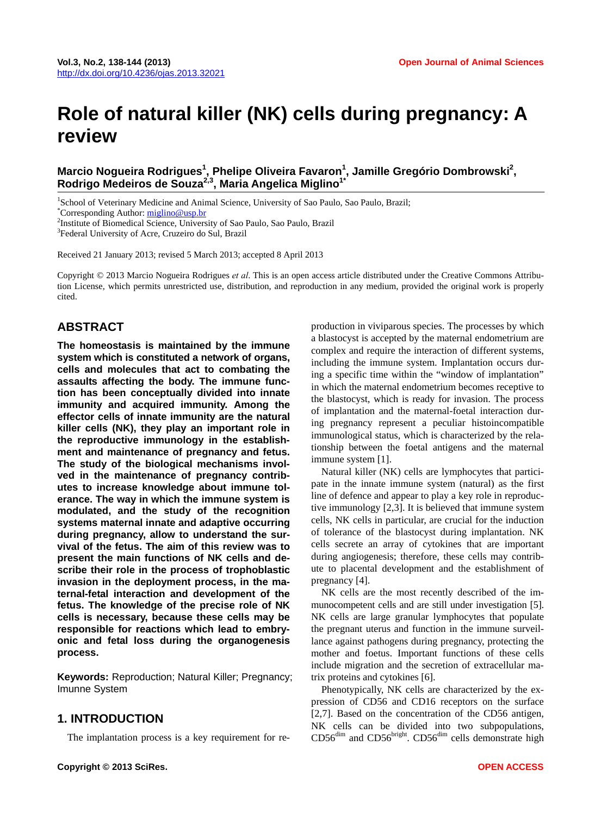# **Role of natural killer (NK) cells during pregnancy: A review**

# Marcio Nogueira Rodrigues<sup>1</sup>, Phelipe Oliveira Favaron<sup>1</sup>, Jamille Gregório Dombrowski<sup>2</sup>, **Rodrigo Medeiros de Souza2,3, Maria Angelica Miglino1\***

<sup>1</sup>School of Veterinary Medicine and Animal Science, University of Sao Paulo, Sao Paulo, Brazil;<br><sup>\*</sup>Corresponding Author: migline@usp.br.

Corresponding Author: [miglino@usp.br](mailto:miglino@usp.br)

<sup>2</sup>Institute of Biomedical Science, University of Sao Paulo, Sao Paulo, Brazil

3 Federal University of Acre, Cruzeiro do Sul, Brazil

Received 21 January 2013; revised 5 March 2013; accepted 8 April 2013

Copyright © 2013 Marcio Nogueira Rodrigues *et al*. This is an open access article distributed under the Creative Commons Attribution License, which permits unrestricted use, distribution, and reproduction in any medium, provided the original work is properly cited.

#### **ABSTRACT**

**The homeostasis is maintained by the immune system which is constituted a network of organs, cells and molecules that act to combating the assaults affecting the body. The immune function has been conceptually divided into innate immunity and acquired immunity. Among the effector cells of innate immunity are the natural killer cells (NK), they play an important role in the reproductive immunology in the establishment and maintenance of pregnancy and fetus. The study of the biological mechanisms involved in the maintenance of pregnancy contributes to increase knowledge about immune tolerance. The way in which the immune system is modulated, and the study of the recognition systems maternal innate and adaptive occurring during pregnancy, allow to understand the survival of the fetus. The aim of this review was to present the main functions of NK cells and describe their role in the process of trophoblastic invasion in the deployment process, in the maternal-fetal interaction and development of the fetus. The knowledge of the precise role of NK cells is necessary, because these cells may be responsible for reactions which lead to embryonic and fetal loss during the organogenesis process.** 

**Keywords:** Reproduction; Natural Killer; Pregnancy; Imunne System

### **1. INTRODUCTION**

The implantation process is a key requirement for re-

production in viviparous species. The processes by which a blastocyst is accepted by the maternal endometrium are complex and require the interaction of different systems, including the immune system. Implantation occurs during a specific time within the "window of implantation" in which the maternal endometrium becomes receptive to the blastocyst, which is ready for invasion. The process of implantation and the maternal-foetal interaction during pregnancy represent a peculiar histoincompatible immunological status, which is characterized by the relationship between the foetal antigens and the maternal immune system [1].

Natural killer (NK) cells are lymphocytes that participate in the innate immune system (natural) as the first line of defence and appear to play a key role in reproductive immunology [2,3]. It is believed that immune system cells, NK cells in particular, are crucial for the induction of tolerance of the blastocyst during implantation. NK cells secrete an array of cytokines that are important during angiogenesis; therefore, these cells may contribute to placental development and the establishment of pregnancy [4].

NK cells are the most recently described of the immunocompetent cells and are still under investigation [5]. NK cells are large granular lymphocytes that populate the pregnant uterus and function in the immune surveillance against pathogens during pregnancy, protecting the mother and foetus. Important functions of these cells include migration and the secretion of extracellular matrix proteins and cytokines [6].

Phenotypically, NK cells are characterized by the expression of CD56 and CD16 receptors on the surface [2,7]. Based on the concentration of the CD56 antigen, NK cells can be divided into two subpopulations,  $CD56<sup>dim</sup>$  and  $CD56<sup>bright</sup>$ .  $CD56<sup>dim</sup>$  cells demonstrate high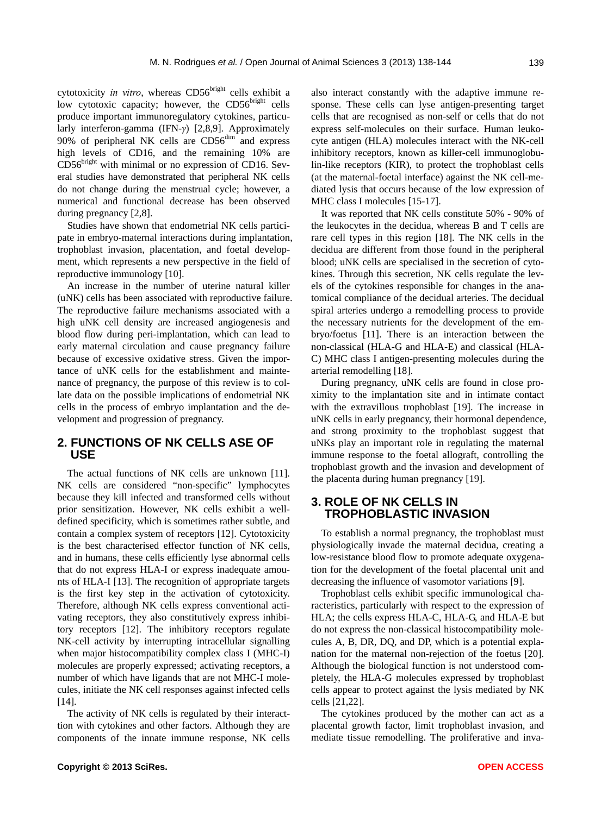cytotoxicity *in vitro*, whereas CD56<sup>bright</sup> cells exhibit a low cytotoxic capacity; however, the  $CD56<sup>bright</sup>$  cells produce important immunoregulatory cytokines, particularly interferon-gamma (IFN-*γ*) [2,8,9]. Approximately 90% of peripheral NK cells are CD56<sup>dim</sup> and express high levels of CD16, and the remaining 10% are  $CD56<sup>bright</sup>$  with minimal or no expression of CD16. Several studies have demonstrated that peripheral NK cells do not change during the menstrual cycle; however, a numerical and functional decrease has been observed during pregnancy [2,8].

Studies have shown that endometrial NK cells participate in embryo-maternal interactions during implantation, trophoblast invasion, placentation, and foetal development, which represents a new perspective in the field of reproductive immunology [10].

An increase in the number of uterine natural killer (uNK) cells has been associated with reproductive failure. The reproductive failure mechanisms associated with a high uNK cell density are increased angiogenesis and blood flow during peri-implantation, which can lead to early maternal circulation and cause pregnancy failure because of excessive oxidative stress. Given the importance of uNK cells for the establishment and maintenance of pregnancy, the purpose of this review is to collate data on the possible implications of endometrial NK cells in the process of embryo implantation and the development and progression of pregnancy.

#### **2. FUNCTIONS OF NK CELLS ASE OF USE**

The actual functions of NK cells are unknown [11]. NK cells are considered "non-specific" lymphocytes because they kill infected and transformed cells without prior sensitization. However, NK cells exhibit a welldefined specificity, which is sometimes rather subtle, and contain a complex system of receptors [12]. Cytotoxicity is the best characterised effector function of NK cells, and in humans, these cells efficiently lyse abnormal cells that do not express HLA-I or express inadequate amounts of HLA-I [13]. The recognition of appropriate targets is the first key step in the activation of cytotoxicity. Therefore, although NK cells express conventional activating receptors, they also constitutively express inhibitory receptors [12]. The inhibitory receptors regulate NK-cell activity by interrupting intracellular signalling when major histocompatibility complex class I (MHC-I) molecules are properly expressed; activating receptors, a number of which have ligands that are not MHC-I molecules, initiate the NK cell responses against infected cells [14].

The activity of NK cells is regulated by their interacttion with cytokines and other factors. Although they are components of the innate immune response, NK cells also interact constantly with the adaptive immune response. These cells can lyse antigen-presenting target cells that are recognised as non-self or cells that do not express self-molecules on their surface. Human leukocyte antigen (HLA) molecules interact with the NK-cell inhibitory receptors, known as killer-cell immunoglobulin-like receptors (KIR), to protect the trophoblast cells (at the maternal-foetal interface) against the NK cell-mediated lysis that occurs because of the low expression of MHC class I molecules [15-17].

It was reported that NK cells constitute 50% - 90% of the leukocytes in the decidua, whereas B and T cells are rare cell types in this region [18]. The NK cells in the decidua are different from those found in the peripheral blood; uNK cells are specialised in the secretion of cytokines. Through this secretion, NK cells regulate the levels of the cytokines responsible for changes in the anatomical compliance of the decidual arteries. The decidual spiral arteries undergo a remodelling process to provide the necessary nutrients for the development of the embryo/foetus [11]. There is an interaction between the non-classical (HLA-G and HLA-E) and classical (HLA-C) MHC class I antigen-presenting molecules during the arterial remodelling [18].

During pregnancy, uNK cells are found in close proximity to the implantation site and in intimate contact with the extravillous trophoblast [19]. The increase in uNK cells in early pregnancy, their hormonal dependence, and strong proximity to the trophoblast suggest that uNKs play an important role in regulating the maternal immune response to the foetal allograft, controlling the trophoblast growth and the invasion and development of the placenta during human pregnancy [19].

#### **3. ROLE OF NK CELLS IN TROPHOBLASTIC INVASION**

To establish a normal pregnancy, the trophoblast must physiologically invade the maternal decidua, creating a low-resistance blood flow to promote adequate oxygenation for the development of the foetal placental unit and decreasing the influence of vasomotor variations [9].

Trophoblast cells exhibit specific immunological characteristics, particularly with respect to the expression of HLA; the cells express HLA-C, HLA-G, and HLA-E but do not express the non-classical histocompatibility molecules A, B, DR, DQ, and DP, which is a potential explanation for the maternal non-rejection of the foetus [20]. Although the biological function is not understood completely, the HLA-G molecules expressed by trophoblast cells appear to protect against the lysis mediated by NK cells [21,22].

The cytokines produced by the mother can act as a placental growth factor, limit trophoblast invasion, and mediate tissue remodelling. The proliferative and inva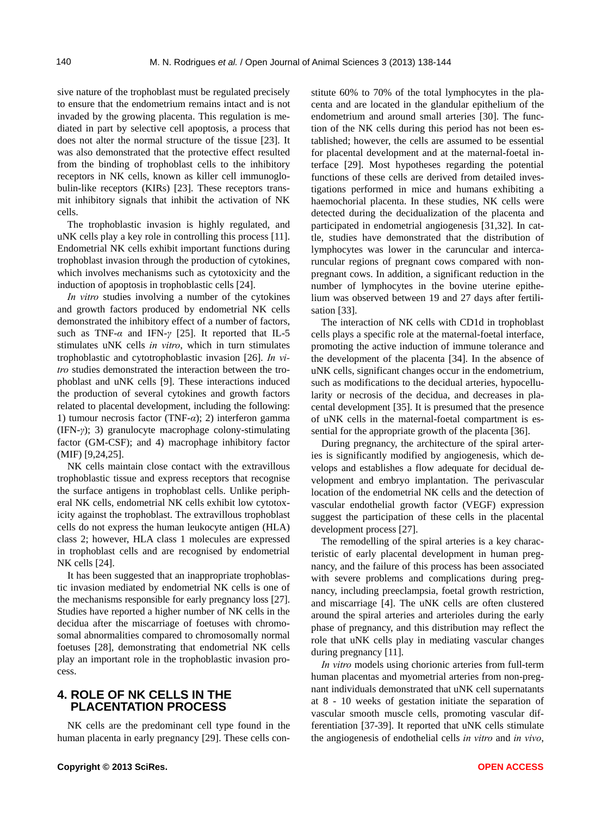sive nature of the trophoblast must be regulated precisely to ensure that the endometrium remains intact and is not invaded by the growing placenta. This regulation is mediated in part by selective cell apoptosis, a process that does not alter the normal structure of the tissue [23]. It was also demonstrated that the protective effect resulted from the binding of trophoblast cells to the inhibitory receptors in NK cells, known as killer cell immunoglobulin-like receptors (KIRs) [23]. These receptors transmit inhibitory signals that inhibit the activation of NK cells.

The trophoblastic invasion is highly regulated, and uNK cells play a key role in controlling this process [11]. Endometrial NK cells exhibit important functions during trophoblast invasion through the production of cytokines, which involves mechanisms such as cytotoxicity and the induction of apoptosis in trophoblastic cells [24].

*In vitro* studies involving a number of the cytokines and growth factors produced by endometrial NK cells demonstrated the inhibitory effect of a number of factors, such as TNF- $\alpha$  and IFN- $\gamma$  [25]. It reported that IL-5 stimulates uNK cells *in vitro*, which in turn stimulates trophoblastic and cytotrophoblastic invasion [26]. *In vitro* studies demonstrated the interaction between the trophoblast and uNK cells [9]. These interactions induced the production of several cytokines and growth factors related to placental development, including the following: 1) tumour necrosis factor (TNF-*α*); 2) interferon gamma (IFN-*γ*); 3) granulocyte macrophage colony-stimulating factor (GM-CSF); and 4) macrophage inhibitory factor (MIF) [9,24,25].

NK cells maintain close contact with the extravillous trophoblastic tissue and express receptors that recognise the surface antigens in trophoblast cells. Unlike peripheral NK cells, endometrial NK cells exhibit low cytotoxicity against the trophoblast. The extravillous trophoblast cells do not express the human leukocyte antigen (HLA) class 2; however, HLA class 1 molecules are expressed in trophoblast cells and are recognised by endometrial NK cells [24].

It has been suggested that an inappropriate trophoblastic invasion mediated by endometrial NK cells is one of the mechanisms responsible for early pregnancy loss [27]. Studies have reported a higher number of NK cells in the decidua after the miscarriage of foetuses with chromosomal abnormalities compared to chromosomally normal foetuses [28], demonstrating that endometrial NK cells play an important role in the trophoblastic invasion process.

## **4. ROLE OF NK CELLS IN THE PLACENTATION PROCESS**

NK cells are the predominant cell type found in the human placenta in early pregnancy [29]. These cells constitute 60% to 70% of the total lymphocytes in the placenta and are located in the glandular epithelium of the endometrium and around small arteries [30]. The function of the NK cells during this period has not been established; however, the cells are assumed to be essential for placental development and at the maternal-foetal interface [29]. Most hypotheses regarding the potential functions of these cells are derived from detailed investigations performed in mice and humans exhibiting a haemochorial placenta. In these studies, NK cells were detected during the decidualization of the placenta and participated in endometrial angiogenesis [31,32]. In cattle, studies have demonstrated that the distribution of lymphocytes was lower in the caruncular and intercaruncular regions of pregnant cows compared with nonpregnant cows. In addition, a significant reduction in the number of lymphocytes in the bovine uterine epithelium was observed between 19 and 27 days after fertilisation [33].

The interaction of NK cells with CD1d in trophoblast cells plays a specific role at the maternal-foetal interface, promoting the active induction of immune tolerance and the development of the placenta [34]. In the absence of uNK cells, significant changes occur in the endometrium, such as modifications to the decidual arteries, hypocellularity or necrosis of the decidua, and decreases in placental development [35]. It is presumed that the presence of uNK cells in the maternal-foetal compartment is essential for the appropriate growth of the placenta [36].

During pregnancy, the architecture of the spiral arteries is significantly modified by angiogenesis, which develops and establishes a flow adequate for decidual development and embryo implantation. The perivascular location of the endometrial NK cells and the detection of vascular endothelial growth factor (VEGF) expression suggest the participation of these cells in the placental development process [27].

The remodelling of the spiral arteries is a key characteristic of early placental development in human pregnancy, and the failure of this process has been associated with severe problems and complications during pregnancy, including preeclampsia, foetal growth restriction, and miscarriage [4]. The uNK cells are often clustered around the spiral arteries and arterioles during the early phase of pregnancy, and this distribution may reflect the role that uNK cells play in mediating vascular changes during pregnancy [11].

*In vitro* models using chorionic arteries from full-term human placentas and myometrial arteries from non-pregnant individuals demonstrated that uNK cell supernatants at 8 - 10 weeks of gestation initiate the separation of vascular smooth muscle cells, promoting vascular differentiation [37-39]. It reported that uNK cells stimulate the angiogenesis of endothelial cells *in vitro* and *in vivo*,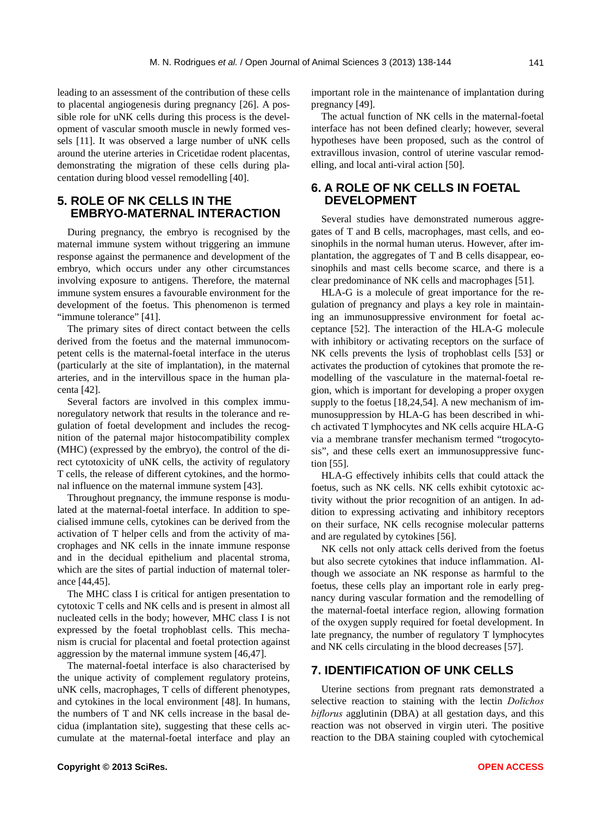leading to an assessment of the contribution of these cells to placental angiogenesis during pregnancy [26]. A possible role for uNK cells during this process is the development of vascular smooth muscle in newly formed vessels [11]. It was observed a large number of uNK cells around the uterine arteries in Cricetidae rodent placentas, demonstrating the migration of these cells during placentation during blood vessel remodelling [40].

# **5. ROLE OF NK CELLS IN THE EMBRYO-MATERNAL INTERACTION**

During pregnancy, the embryo is recognised by the maternal immune system without triggering an immune response against the permanence and development of the embryo, which occurs under any other circumstances involving exposure to antigens. Therefore, the maternal immune system ensures a favourable environment for the development of the foetus. This phenomenon is termed "immune tolerance" [41].

The primary sites of direct contact between the cells derived from the foetus and the maternal immunocompetent cells is the maternal-foetal interface in the uterus (particularly at the site of implantation), in the maternal arteries, and in the intervillous space in the human placenta [42].

Several factors are involved in this complex immunoregulatory network that results in the tolerance and regulation of foetal development and includes the recognition of the paternal major histocompatibility complex (MHC) (expressed by the embryo), the control of the direct cytotoxicity of uNK cells, the activity of regulatory T cells, the release of different cytokines, and the hormonal influence on the maternal immune system [43].

Throughout pregnancy, the immune response is modulated at the maternal-foetal interface. In addition to specialised immune cells, cytokines can be derived from the activation of T helper cells and from the activity of macrophages and NK cells in the innate immune response and in the decidual epithelium and placental stroma, which are the sites of partial induction of maternal tolerance [44,45].

The MHC class I is critical for antigen presentation to cytotoxic T cells and NK cells and is present in almost all nucleated cells in the body; however, MHC class I is not expressed by the foetal trophoblast cells. This mechanism is crucial for placental and foetal protection against aggression by the maternal immune system [46,47].

The maternal-foetal interface is also characterised by the unique activity of complement regulatory proteins, uNK cells, macrophages, T cells of different phenotypes, and cytokines in the local environment [48]. In humans, the numbers of T and NK cells increase in the basal decidua (implantation site), suggesting that these cells accumulate at the maternal-foetal interface and play an important role in the maintenance of implantation during pregnancy [49].

The actual function of NK cells in the maternal-foetal interface has not been defined clearly; however, several hypotheses have been proposed, such as the control of extravillous invasion, control of uterine vascular remodelling, and local anti-viral action [50].

#### **6. A ROLE OF NK CELLS IN FOETAL DEVELOPMENT**

Several studies have demonstrated numerous aggregates of T and B cells, macrophages, mast cells, and eosinophils in the normal human uterus. However, after implantation, the aggregates of T and B cells disappear, eosinophils and mast cells become scarce, and there is a clear predominance of NK cells and macrophages [51].

HLA-G is a molecule of great importance for the regulation of pregnancy and plays a key role in maintaining an immunosuppressive environment for foetal acceptance [52]. The interaction of the HLA-G molecule with inhibitory or activating receptors on the surface of NK cells prevents the lysis of trophoblast cells [53] or activates the production of cytokines that promote the remodelling of the vasculature in the maternal-foetal region, which is important for developing a proper oxygen supply to the foetus [18,24,54]. A new mechanism of immunosuppression by HLA-G has been described in which activated T lymphocytes and NK cells acquire HLA-G via a membrane transfer mechanism termed "trogocytosis", and these cells exert an immunosuppressive function [55].

HLA-G effectively inhibits cells that could attack the foetus, such as NK cells. NK cells exhibit cytotoxic activity without the prior recognition of an antigen. In addition to expressing activating and inhibitory receptors on their surface, NK cells recognise molecular patterns and are regulated by cytokines [56].

NK cells not only attack cells derived from the foetus but also secrete cytokines that induce inflammation. Although we associate an NK response as harmful to the foetus, these cells play an important role in early pregnancy during vascular formation and the remodelling of the maternal-foetal interface region, allowing formation of the oxygen supply required for foetal development. In late pregnancy, the number of regulatory T lymphocytes and NK cells circulating in the blood decreases [57].

## **7. IDENTIFICATION OF UNK CELLS**

Uterine sections from pregnant rats demonstrated a selective reaction to staining with the lectin *Dolichos biflorus* agglutinin (DBA) at all gestation days, and this reaction was not observed in virgin uteri. The positive reaction to the DBA staining coupled with cytochemical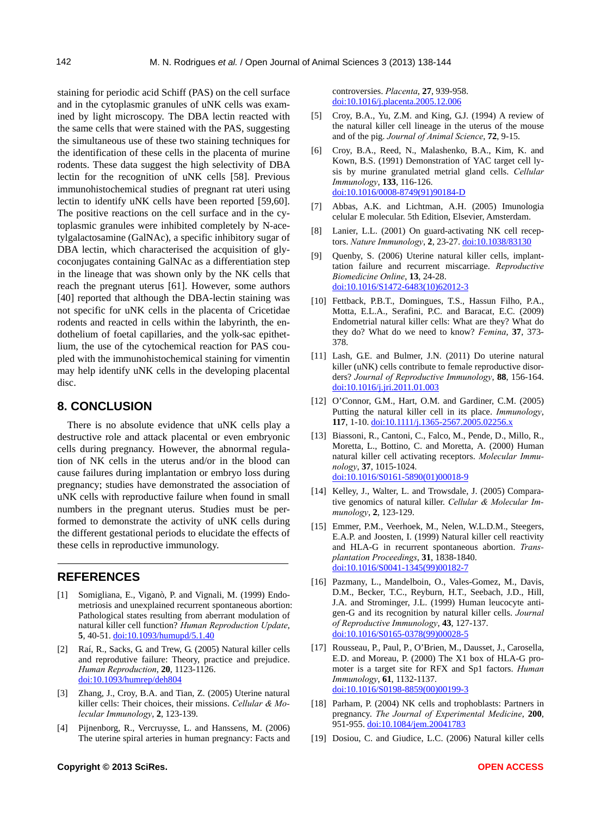staining for periodic acid Schiff (PAS) on the cell surface and in the cytoplasmic granules of uNK cells was examined by light microscopy. The DBA lectin reacted with the same cells that were stained with the PAS, suggesting the simultaneous use of these two staining techniques for the identification of these cells in the placenta of murine rodents. These data suggest the high selectivity of DBA lectin for the recognition of uNK cells [58]. Previous immunohistochemical studies of pregnant rat uteri using lectin to identify uNK cells have been reported [59,60]. The positive reactions on the cell surface and in the cytoplasmic granules were inhibited completely by N-acetylgalactosamine (GalNAc), a specific inhibitory sugar of DBA lectin, which characterised the acquisition of glycoconjugates containing GalNAc as a differentiation step in the lineage that was shown only by the NK cells that reach the pregnant uterus [61]. However, some authors [40] reported that although the DBA-lectin staining was not specific for uNK cells in the placenta of Cricetidae rodents and reacted in cells within the labyrinth, the endothelium of foetal capillaries, and the yolk-sac epithetlium, the use of the cytochemical reaction for PAS coupled with the immunohistochemical staining for vimentin may help identify uNK cells in the developing placental disc.

# **8. CONCLUSION**

There is no absolute evidence that uNK cells play a destructive role and attack placental or even embryonic cells during pregnancy. However, the abnormal regulation of NK cells in the uterus and/or in the blood can cause failures during implantation or embryo loss during pregnancy; studies have demonstrated the association of uNK cells with reproductive failure when found in small numbers in the pregnant uterus. Studies must be performed to demonstrate the activity of uNK cells during the different gestational periods to elucidate the effects of these cells in reproductive immunology.

#### **REFERENCES**

- [1] Somigliana, E., Viganò, P. and Vignali, M. (1999) Endometriosis and unexplained recurrent spontaneous abortion: Pathological states resulting from aberrant modulation of natural killer cell function? *Human Reproduction Update*, **5**, 40-51. [doi:10.1093/humupd/5.1.40](http://dx.doi.org/10.1093/humupd/5.1.40)
- [2] Raí, R., Sacks, G. and Trew, G. (2005) Natural killer cells and reprodutive failure: Theory, practice and prejudice. *Human Reproduction*, **20**, 1123-1126. [doi:10.1093/humrep/deh804](http://dx.doi.org/10.1093/humrep/deh804)
- [3] Zhang, J., Croy, B.A. and Tian, Z. (2005) Uterine natural killer cells: Their choices, their missions. *[Cellular & Mo](http://lib.bioinfo.pl/pmid/journal/Cell%20Mol%20Immunol)[lecular Immunology](http://lib.bioinfo.pl/pmid/journal/Cell%20Mol%20Immunol)*, **2**, 123-139.
- [4] Pijnenborg, R., Vercruysse, L. and Hanssens, M. (2006) The uterine spiral arteries in human pregnancy: Facts and

controversies. *Placenta*, **27**, 939-958. [doi:10.1016/j.placenta.2005.12.006](http://dx.doi.org/10.1016/j.placenta.2005.12.006) 

- [5] Croy, B.A., Yu, Z.M. and King, G.J. (1994) A review of the natural killer cell lineage in the uterus of the mouse and of the pig. *Journal of Animal Science*, **72**, 9-15.
- [6] Croy, B.A., Reed, N., Malashenko, B.A., Kim, K. and Kown, B.S. (1991) Demonstration of YAC target cell lysis by murine granulated metrial gland cells. *Cellular Immunology*, **133**, 116-126. [doi:10.1016/0008-8749\(91\)90184-D](http://dx.doi.org/10.1016/0008-8749(91)90184-D)
- [7] Abbas, A.K. and Lichtman, A.H. (2005) Imunologia celular E molecular. 5th Edition, Elsevier, Amsterdam.
- [8] Lanier, L.L. (2001) On guard-activating NK cell receptors. *Nature Immunology*, **2**, 23-27. [doi:10.1038/83130](http://dx.doi.org/10.1038/83130)
- [9] Quenby, S. (2006) Uterine natural killer cells, implanttation failure and recurrent miscarriage. *Reproductive Biomedicine Online*, **13**, 24-28. [doi:10.1016/S1472-6483\(10\)62012-3](http://dx.doi.org/10.1016/S1472-6483(10)62012-3)
- [10] Fettback, P.B.T., Domingues, T.S., Hassun Filho, P.A., Motta, E.L.A., Serafini, P.C. and Baracat, E.C. (2009) Endometrial natural killer cells: What are they? What do they do? What do we need to know? *Femina*, **37**, 373- 378.
- [11] Lash, G.E. and Bulmer, J.N. (2011) Do uterine natural killer (uNK) cells contribute to female reproductive disorders? *Journal of Reproductive Immunology*, **88**, 156-164. [doi:10.1016/j.jri.2011.01.003](http://dx.doi.org/10.1016/j.jri.2011.01.003)
- [12] O'Connor, G.M., Hart, O.M. and Gardiner, C.M. (2005) Putting the natural killer cell in its place. *Immunology*, **117**, 1-10. [doi:10.1111/j.1365-2567.2005.02256.x](http://dx.doi.org/10.1111/j.1365-2567.2005.02256.x)
- [13] Biassoni, R., Cantoni, C., Falco, M., Pende, D., Millo, R., Moretta, L., Bottino, C. and Moretta, A. (2000) Human natural killer cell activating receptors. *Molecular Immunology*, **37**, 1015-1024. [doi:10.1016/S0161-5890\(01\)00018-9](http://dx.doi.org/10.1016/S0161-5890(01)00018-9)
- [14] Kelley, J., Walter, L. and Trowsdale, J. (2005) Comparative genomics of natural killer. *Cellular & Molecular Immunology*, **2**, 123-129.
- [15] Emmer, P.M., Veerhoek, M., Nelen, W.L.D.M., Steegers, E.A.P. and Joosten, I. (1999) Natural killer cell reactivity and HLA-G in recurrent spontaneous abortion. *Transplantation Proceedings*, **31**, 1838-1840. [doi:10.1016/S0041-1345\(99\)00182-7](http://dx.doi.org/10.1016/S0041-1345(99)00182-7)
- [16] Pazmany, L., Mandelboin, O., Vales-Gomez, M., Davis, D.M., Becker, T.C., Reyburn, H.T., Seebach, J.D., Hill, J.A. and Strominger, J.L. (1999) Human leucocyte antigen-G and its recognition by natural killer cells. *Journal of Reproductive Immunology*, **43**, 127-137. [doi:10.1016/S0165-0378\(99\)00028-5](http://dx.doi.org/10.1016/S0165-0378(99)00028-5)
- [17] Rousseau, P., Paul, P., O'Brien, M., Dausset, J., Carosella, E.D. and Moreau, P. (2000) The X1 box of HLA-G promoter is a target site for RFX and Sp1 factors. *Human Immunology*, **61**, 1132-1137. [doi:10.1016/S0198-8859\(00\)00199-3](http://dx.doi.org/10.1016/S0198-8859(00)00199-3)
- [18] Parham, P. (2004) NK cells and trophoblasts: Partners in pregnancy. *The Journal of Experimental Medicine*, **200**, 951-955. [doi:10.1084/jem.20041783](http://dx.doi.org/10.1084/jem.20041783)
- [19] Dosiou, C. and Giudice, L.C. (2006) Natural killer cells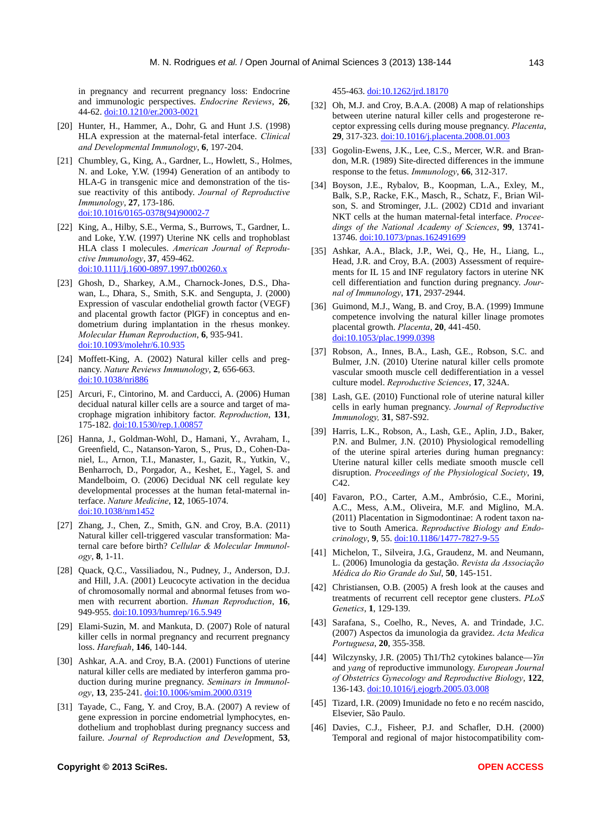in pregnancy and recurrent pregnancy loss: Endocrine and immunologic perspectives. *Endocrine Reviews*, **26**, 44-62. doi:10.1210/er.2003-0021

- [20] Hunter, H., Hammer, A., Dohr, G. and Hunt J.S. (1998) HLA expression at the maternal-fetal interface. *Clinical and Developmental Immunology*, **6**, 197-204.
- [21] Chumbley, G., King, A., Gardner, L., Howlett, S., Holmes, N. and Loke, Y.W. (1994) Generation of an antibody to HLA-G in transgenic mice and demonstration of the tissue reactivity of this antibody. *Journal of Reproductive Immunology*, **27**, 173-186. [doi:10.1016/0165-0378\(94\)90002-7](http://dx.doi.org/10.1016/0165-0378(94)90002-7)
- [22] King, A., Hilby, S.E., Verma, S., Burrows, T., Gardner, L. and Loke, Y.W. (1997) Uterine NK cells and trophoblast HLA class I molecules. *American Journal of Reproductive Immunology*, **37**, 459-462. [doi:10.1111/j.1600-0897.1997.tb00260.x](http://dx.doi.org/10.1111/j.1600-0897.1997.tb00260.x)
- [23] Ghosh, D., Sharkey, A.M., Charnock-Jones, D.S., Dhawan, L., Dhara, S., Smith, S.K. and Sengupta, J. (2000) Expression of vascular endothelial growth factor (VEGF) and placental growth factor (PlGF) in conceptus and endometrium during implantation in the rhesus monkey. *Molecular Human Reproduction*, **6**, 935-941. [doi:10.1093/molehr/6.10.935](http://dx.doi.org/10.1093/molehr/6.10.935)
- [24] Moffett-King, A. (2002) Natural killer cells and pregnancy. *Nature Reviews Immunology*, **2**, 656-663. [doi:10.1038/nri886](http://dx.doi.org/10.1038/nri886)
- [25] Arcuri, F., Cintorino, M. and Carducci, A. (2006) Human decidual natural killer cells are a source and target of macrophage migration inhibitory factor. *Reproduction*, **131**, 175-182. [doi:10.1530/rep.1.00857](http://dx.doi.org/10.1530/rep.1.00857)
- [26] Hanna, J., Goldman-Wohl, D., Hamani, Y., Avraham, I., Greenfield, C., Natanson-Yaron, S., Prus, D., Cohen-Daniel, L., Arnon, T.I., Manaster, I., Gazit, R., Yutkin, V., Benharroch, D., Porgador, A., Keshet, E., Yagel, S. and Mandelboim, O. (2006) Decidual NK cell regulate key developmental processes at the human fetal-maternal interface. *Nature Medicine*, **12**, 1065-1074. [doi:10.1038/nm1452](http://dx.doi.org/10.1038/nm1452)
- [27] [Zhang, J.](http://www.ncbi.nlm.nih.gov/pubmed?term=Zhang%20J%5BAuthor%5D&cauthor=true&cauthor_uid=20711229), [Chen, Z](http://www.ncbi.nlm.nih.gov/pubmed?term=Chen%20Z%5BAuthor%5D&cauthor=true&cauthor_uid=20711229)., [Smith, G.N.](http://www.ncbi.nlm.nih.gov/pubmed?term=Smith%20GN%5BAuthor%5D&cauthor=true&cauthor_uid=20711229) and [Croy, B.A.](http://www.ncbi.nlm.nih.gov/pubmed?term=Croy%20BA%5BAuthor%5D&cauthor=true&cauthor_uid=20711229) (2011) Natural killer cell-triggered vascular transformation: Maternal care before birth? *[Cellular & Molecular Immunol](http://www.ncbi.nlm.nih.gov/pubmed/20711229)[ogy](http://www.ncbi.nlm.nih.gov/pubmed/20711229)*, **8**, 1-11.
- [28] Quack, O.C., Vassiliadou, N., Pudney, J., Anderson, D.J. and Hill, J.A. (2001) Leucocyte activation in the decidua of chromosomally normal and abnormal fetuses from women with recurrent abortion. *Human Reproduction*, **16**, 949-955. [doi:10.1093/humrep/16.5.949](http://dx.doi.org/10.1093/humrep/16.5.949)
- [29] Elami-Suzin, M. and Mankuta, D. (2007) Role of natural killer cells in normal pregnancy and recurrent pregnancy loss. *Harefuah*, **146**, 140-144.
- [30] Ashkar, A.A. and Croy, B.A. (2001) Functions of uterine natural killer cells are mediated by interferon gamma production during murine pregnancy. *Seminars in Immunology*, **13**, 235-241. [doi:10.1006/smim.2000.0319](http://dx.doi.org/10.1006/smim.2000.0319)
- [31] Tayade, C., Fang, Y. and Croy, B.A. (2007) A review of gene expression in porcine endometrial lymphocytes, endothelium and trophoblast during pregnancy success and failure. *Journal of Reproduction and Devel*opment, **53**,

**Copyright © 2013 SciRes.** Open Management of the set of the set of the set of the set of the set of the set of the set of the set of the set of the set of the set of the set of the set of the set of the set of the set of

455-463. [doi:10.1262/jrd.18170](http://dx.doi.org/10.1262/jrd.18170)

- [32] Oh, M.J. and Croy, B.A.A. (2008) A map of relationships between uterine natural killer cells and progesterone receptor expressing cells during mouse pregnancy. *Placenta*, **29**, 317-323. [doi:10.1016/j.placenta.2008.01.003](http://dx.doi.org/10.1016/j.placenta.2008.01.003)
- [33] Gogolin-Ewens, J.K., Lee, C.S., Mercer, W.R. and Brandon, M.R. (1989) Site-directed differences in the immune response to the fetus. *Immunology*, **66**, 312-317.
- [34] Boyson, J.E., Rybalov, B., Koopman, L.A., Exley, M., Balk, S.P., Racke, F.K., Masch, R., Schatz, F., Brian Wilson, S. and Strominger, J.L. (2002) CD1d and invariant NKT cells at the human maternal-fetal interface. *Proceedings of the National Academy of Sciences*, **99**, 13741- 13746. [doi:10.1073/pnas.162491699](http://dx.doi.org/10.1073/pnas.162491699)
- [35] Ashkar, A.A., Black, J.P., Wei, Q., He, H., Liang, L., Head, J.R. and Croy, B.A. (2003) Assessment of requirements for IL 15 and INF regulatory factors in uterine NK cell differentiation and function during pregnancy. *Journal of Immunology*, **171**, 2937-2944.
- [36] Guimond, M.J., Wang, B. and Croy, B.A. (1999) Immune competence involving the natural killer linage promotes placental growth. *Placenta*, **20**, 441-450. [doi:10.1053/plac.1999.0398](http://dx.doi.org/10.1053/plac.1999.0398)
- [37] Robson, A., Innes, B.A., Lash, G.E., Robson, S.C. and Bulmer, J.N. (2010) Uterine natural killer cells promote vascular smooth muscle cell dedifferentiation in a vessel culture model. *Reproductive Sciences*, **17**, 324A.
- [38] Lash, G.E. (2010) Functional role of uterine natural killer cells in early human pregnancy. *Journal of Reproductive Immunology,* **31**, S87-S92.
- [39] Harris, L.K., Robson, A., Lash, G.E., Aplin, J.D., Baker, P.N. and Bulmer, J.N. (2010) Physiological remodelling of the uterine spiral arteries during human pregnancy: Uterine natural killer cells mediate smooth muscle cell disruption. *Proceedings of the Physiological Society*, **19**, C42.
- [40] Favaron, P.O., Carter, A.M., Ambrósio, C.E., Morini, A.C., Mess, A.M., Oliveira, M.F. and Miglino, M.A. (2011) Placentation in Sigmodontinae: A rodent taxon native to South America. *Reproductive Biology and Endocrinology*, **9**, 55. [doi:10.1186/1477-7827-9-55](http://dx.doi.org/10.1186/1477-7827-9-55)
- [41] Michelon, T., Silveira, J.G., Graudenz, M. and Neumann, L. (2006) Imunologia da gestação. *Revista da Associação Médica do Rio Grande do Sul*, **50**, 145-151.
- [42] Christiansen, O.B. (2005) A fresh look at the causes and treatments of recurrent cell receptor gene clusters. *PLoS Genetics*, **1**, 129-139.
- [43] Sarafana, S., Coelho, R., Neves, A. and Trindade, J.C. (2007) Aspectos da imunologia da gravidez. *Acta Medica Portuguesa*, **20**, 355-358.
- [44] Wilczynsky, J.R. (2005) Th1/Th2 cytokines balance—*Yin* and *yang* of reproductive immunology. *European Journal of Obstetrics Gynecology and Reproductive Biology*, **122**, 136-143. [doi:10.1016/j.ejogrb.2005.03.008](http://dx.doi.org/10.1016/j.ejogrb.2005.03.008)
- [45] Tizard, I.R. (2009) Imunidade no feto e no recém nascido, Elsevier, São Paulo.
- [46] Davies, C.J., Fisheer, P.J. and Schafler, D.H. (2000) Temporal and regional of major histocompatibility com-